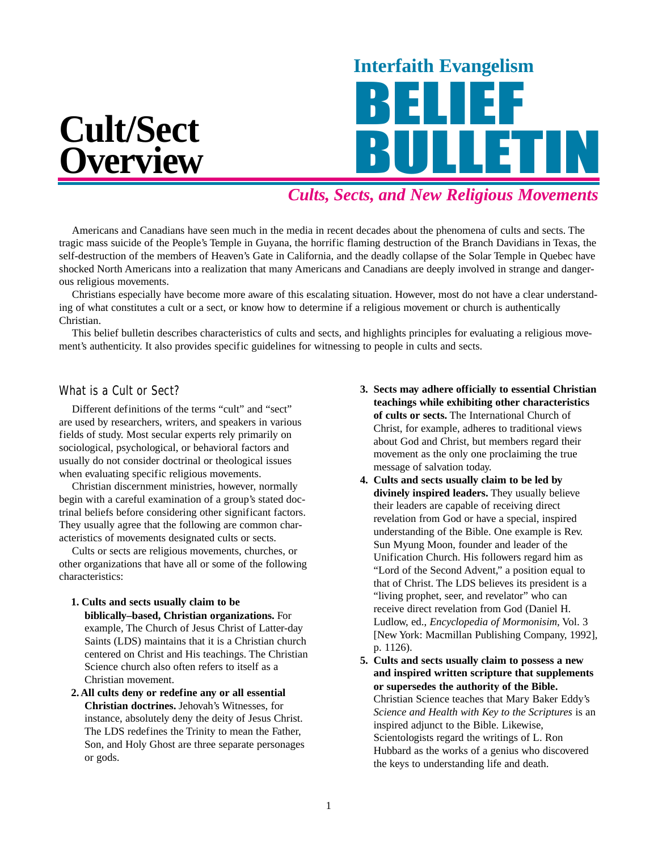

# *Cults, Sects, and New Religious Movements*

Americans and Canadians have seen much in the media in recent decades about the phenomena of cults and sects. The tragic mass suicide of the People's Temple in Guyana, the horrific flaming destruction of the Branch Davidians in Texas, the self-destruction of the members of Heaven's Gate in California, and the deadly collapse of the Solar Temple in Quebec have shocked North Americans into a realization that many Americans and Canadians are deeply involved in strange and dangerous religious movements.

Christians especially have become more aware of this escalating situation. However, most do not have a clear understanding of what constitutes a cult or a sect, or know how to determine if a religious movement or church is authentically Christian.

This belief bulletin describes characteristics of cults and sects, and highlights principles for evaluating a religious movement's authenticity. It also provides specific guidelines for witnessing to people in cults and sects.

#### What is a Cult or Sect?

Different definitions of the terms "cult" and "sect" are used by researchers, writers, and speakers in various fields of study. Most secular experts rely primarily on sociological, psychological, or behavioral factors and usually do not consider doctrinal or theological issues when evaluating specific religious movements.

Christian discernment ministries, however, normally begin with a careful examination of a group's stated doctrinal beliefs before considering other significant factors. They usually agree that the following are common characteristics of movements designated cults or sects.

Cults or sects are religious movements, churches, or other organizations that have all or some of the following characteristics:

- **1. Cults and sects usually claim to be biblically–based, Christian organizations.** For example, The Church of Jesus Christ of Latter-day Saints (LDS) maintains that it is a Christian church centered on Christ and His teachings. The Christian Science church also often refers to itself as a Christian movement.
- **2. All cults deny or redefine any or all essential Christian doctrines.** Jehovah's Witnesses, for instance, absolutely deny the deity of Jesus Christ. The LDS redefines the Trinity to mean the Father, Son, and Holy Ghost are three separate personages or gods.
- **3. Sects may adhere officially to essential Christian teachings while exhibiting other characteristics of cults or sects.** The International Church of Christ, for example, adheres to traditional views about God and Christ, but members regard their movement as the only one proclaiming the true message of salvation today.
- **4. Cults and sects usually claim to be led by divinely inspired leaders.** They usually believe their leaders are capable of receiving direct revelation from God or have a special, inspired understanding of the Bible. One example is Rev. Sun Myung Moon, founder and leader of the Unification Church. His followers regard him as "Lord of the Second Advent," a position equal to that of Christ. The LDS believes its president is a "living prophet, seer, and revelator" who can receive direct revelation from God (Daniel H. Ludlow, ed., *Encyclopedia of Mormonisim,* Vol. 3 [New York: Macmillan Publishing Company, 1992], p. 1126).
- **5. Cults and sects usually claim to possess a new and inspired written scripture that supplements or supersedes the authority of the Bible.** Christian Science teaches that Mary Baker Eddy's *Science and Health with Key to the Scriptures* is an inspired adjunct to the Bible. Likewise, Scientologists regard the writings of L. Ron Hubbard as the works of a genius who discovered the keys to understanding life and death.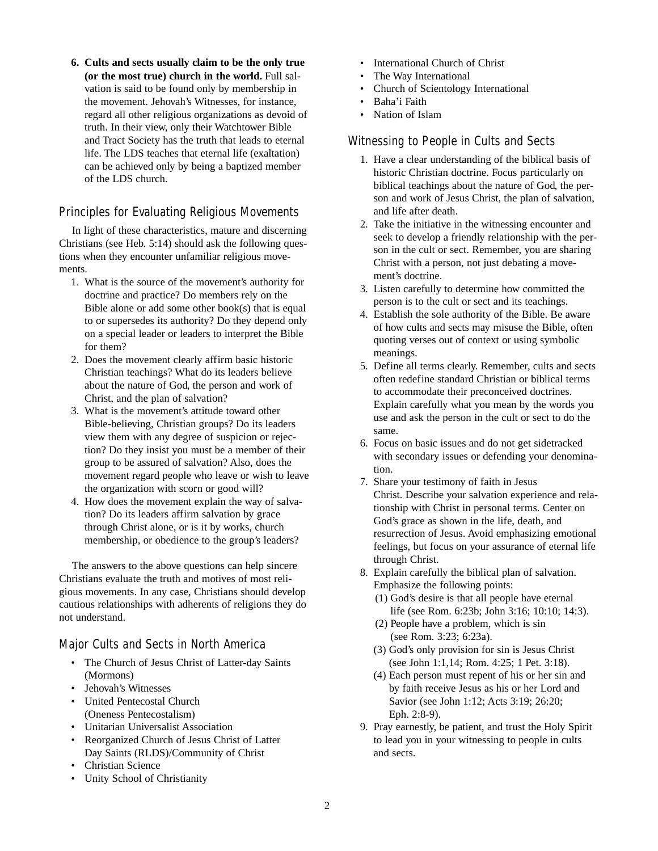**6. Cults and sects usually claim to be the only true (or the most true) church in the world.** Full salvation is said to be found only by membership in the movement. Jehovah's Witnesses, for instance, regard all other religious organizations as devoid of truth. In their view, only their Watchtower Bible and Tract Society has the truth that leads to eternal life. The LDS teaches that eternal life (exaltation) can be achieved only by being a baptized member of the LDS church.

### Principles for Evaluating Religious Movements

In light of these characteristics, mature and discerning Christians (see Heb. 5:14) should ask the following questions when they encounter unfamiliar religious movements.

- 1. What is the source of the movement's authority for doctrine and practice? Do members rely on the Bible alone or add some other book(s) that is equal to or supersedes its authority? Do they depend only on a special leader or leaders to interpret the Bible for them?
- 2. Does the movement clearly affirm basic historic Christian teachings? What do its leaders believe about the nature of God, the person and work of Christ, and the plan of salvation?
- 3. What is the movement's attitude toward other Bible-believing, Christian groups? Do its leaders view them with any degree of suspicion or rejection? Do they insist you must be a member of their group to be assured of salvation? Also, does the movement regard people who leave or wish to leave the organization with scorn or good will?
- 4. How does the movement explain the way of salvation? Do its leaders affirm salvation by grace through Christ alone, or is it by works, church membership, or obedience to the group's leaders?

The answers to the above questions can help sincere Christians evaluate the truth and motives of most religious movements. In any case, Christians should develop cautious relationships with adherents of religions they do not understand.

### Major Cults and Sects in North America

- The Church of Jesus Christ of Latter-day Saints (Mormons)
- Jehovah's Witnesses
- United Pentecostal Church (Oneness Pentecostalism)
- Unitarian Universalist Association
- Reorganized Church of Jesus Christ of Latter Day Saints (RLDS)/Community of Christ
- Christian Science
- Unity School of Christianity
- International Church of Christ
- The Way International
- Church of Scientology International
- Baha'i Faith
- Nation of Islam

## Witnessing to People in Cults and Sects

- 1. Have a clear understanding of the biblical basis of historic Christian doctrine. Focus particularly on biblical teachings about the nature of God, the person and work of Jesus Christ, the plan of salvation, and life after death.
- 2. Take the initiative in the witnessing encounter and seek to develop a friendly relationship with the person in the cult or sect. Remember, you are sharing Christ with a person, not just debating a movement's doctrine.
- 3. Listen carefully to determine how committed the person is to the cult or sect and its teachings.
- 4. Establish the sole authority of the Bible. Be aware of how cults and sects may misuse the Bible, often quoting verses out of context or using symbolic meanings.
- 5. Define all terms clearly. Remember, cults and sects often redefine standard Christian or biblical terms to accommodate their preconceived doctrines. Explain carefully what you mean by the words you use and ask the person in the cult or sect to do the same.
- 6. Focus on basic issues and do not get sidetracked with secondary issues or defending your denomination.
- 7. Share your testimony of faith in Jesus Christ. Describe your salvation experience and relationship with Christ in personal terms. Center on God's grace as shown in the life, death, and resurrection of Jesus. Avoid emphasizing emotional feelings, but focus on your assurance of eternal life through Christ.
- 8. Explain carefully the biblical plan of salvation. Emphasize the following points:
	- (1) God's desire is that all people have eternal life (see Rom. 6:23b; John 3:16; 10:10; 14:3).
	- (2) People have a problem, which is sin (see Rom. 3:23; 6:23a).
	- (3) God's only provision for sin is Jesus Christ (see John 1:1,14; Rom. 4:25; 1 Pet. 3:18).
	- (4) Each person must repent of his or her sin and by faith receive Jesus as his or her Lord and Savior (see John 1:12; Acts 3:19; 26:20; Eph. 2:8-9).
- 9. Pray earnestly, be patient, and trust the Holy Spirit to lead you in your witnessing to people in cults and sects.